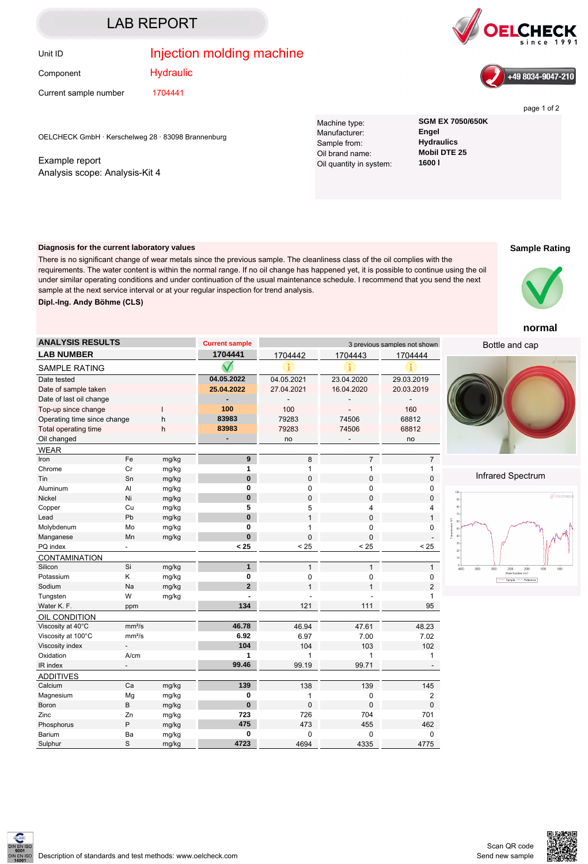# LAB REPORT

Component

## Unit ID **Injection molding machine**





page 1 of 2

Current sample number 1704441

**Hydraulic** 

sample at the next service interval or at your regular inspection for trend analysis.

OELCHECK GmbH · Kerschelweg 28 · 83098 Brannenburg

Example report Analysis scope: Analysis-Kit 4

**Dipl.-Ing. Andy Böhme (CLS)**

**Diagnosis for the current laboratory values**

Machine type: **SGM EX 7050/650K** Manufacturer: **Engel** Sample from: **Hydraulics**<br>
Oil brand name: **Mobil DTE 25** Oil brand name: **Mobil**<br>Oil quantity in system: **1600 L** Oil quantity in system:

### **Sample Rating**



#### **normal**

Bottle and cap



#### Infrared Spectrum



| <b>ANALYSIS RESULTS</b>          |                          |       | <b>Current sample</b> | 3 previous samples not shown |                |                |
|----------------------------------|--------------------------|-------|-----------------------|------------------------------|----------------|----------------|
| <b>LAB NUMBER</b>                |                          |       | 1704441               | 1704442                      | 1704443        | 1704444        |
| <b>SAMPLE RATING</b>             |                          |       |                       |                              |                |                |
| Date tested                      |                          |       | 04.05.2022            | 04.05.2021                   | 23.04.2020     | 29.03.2019     |
| Date of sample taken             |                          |       | 25.04.2022            | 27.04.2021                   | 16.04.2020     | 20.03.2019     |
| Date of last oil change          |                          |       |                       |                              |                |                |
| Top-up since change              |                          | 100   | 100                   |                              | 160            |                |
| Operating time since change<br>h |                          | 83983 | 79283                 | 74506                        | 68812          |                |
| Total operating time<br>h        |                          |       | 83983                 | 79283                        | 74506          | 68812          |
| Oil changed                      |                          |       |                       | no                           |                | no             |
| <b>WEAR</b>                      |                          |       |                       |                              |                |                |
| Iron                             | Fe                       | mg/kg | 9                     | 8                            | $\overline{7}$ | $\overline{7}$ |
| Chrome                           | Cr                       | mg/kg | 1                     | $\mathbf{1}$                 | 1              | 1              |
| Tin                              | Sn                       | mg/kg | $\bf{0}$              | $\mathbf 0$                  | 0              | 0              |
| Aluminum                         | AI                       | mg/kg | 0                     | 0                            | 0              | 0              |
| <b>Nickel</b>                    | Ni                       | mg/kg | $\bf{0}$              | $\mathbf 0$                  | $\mathbf 0$    | 0              |
| Copper                           | Cu                       | mg/kg | 5                     | 5                            | 4              | 4              |
| Lead                             | Pb                       | mg/kg | $\bf{0}$              | $\mathbf{1}$                 | 0              | $\mathbf{1}$   |
| Molybdenum                       | Mo                       | mg/kg | 0                     | $\mathbf{1}$                 | 0              | 0              |
| Manganese                        | Mn                       | mg/kg | $\mathbf{0}$          | $\mathbf 0$                  | 0              |                |
| PQ index                         |                          |       | < 25                  | < 25                         | < 25           | < 25           |
| <b>CONTAMINATION</b>             |                          |       |                       |                              |                |                |
| Silicon                          | Si                       | mg/kg | $\mathbf{1}$          | $\mathbf{1}$                 | $\mathbf{1}$   | $\mathbf{1}$   |
| Potassium                        | Κ                        | mg/kg | 0                     | 0                            | 0              | 0              |
| Sodium                           | Na                       | mg/kg | $\overline{2}$        | $\overline{1}$               | 1              | $\overline{2}$ |
| Tungsten                         | W                        | mg/kg |                       |                              |                | $\mathbf{1}$   |
| Water K. F.                      | ppm                      |       | 134                   | 121                          | 111            | 95             |
| OIL CONDITION                    |                          |       |                       |                              |                |                |
| Viscosity at 40°C                | mm <sup>2</sup> /s       |       | 46.78                 | 46.94                        | 47.61          | 48.23          |
| Viscosity at 100°C               | mm <sup>2</sup> /s       |       | 6.92                  | 6.97                         | 7.00           | 7.02           |
| Viscosity index                  | $\overline{\phantom{a}}$ |       | 104                   | 104                          | 103            | 102            |
| Oxidation                        | A/cm                     |       | 1                     | 1                            | 1              | 1              |
| IR index                         | $\overline{\phantom{a}}$ |       | 99.46                 | 99.19                        | 99.71          |                |
| <b>ADDITIVES</b>                 |                          |       |                       |                              |                |                |
| Calcium                          | Ca                       | mg/kg | 139                   | 138                          | 139            | 145            |
| Magnesium                        | Mg                       | mg/kg | 0                     | 1                            | 0              | 2              |
| Boron                            | B                        | mg/kg | $\pmb{0}$             | $\mathbf 0$                  | 0              | 0              |
| Zinc                             | Zn                       | mg/kg | 723                   | 726                          | 704            | 701            |

There is no significant change of wear metals since the previous sample. The cleanliness class of the oil complies with the requirements. The water content is within the normal range. If no oil change has happened yet, it is possible to continue using the oil under similar operating conditions and under continuation of the usual maintenance schedule. I recommend that you send the next

Phosphorus P mg/kg **475** 473 455 462 Barium Ba mg/kg **0** 0 0 0 Sulphur S mg/kg **4723** 4694 4335 4775